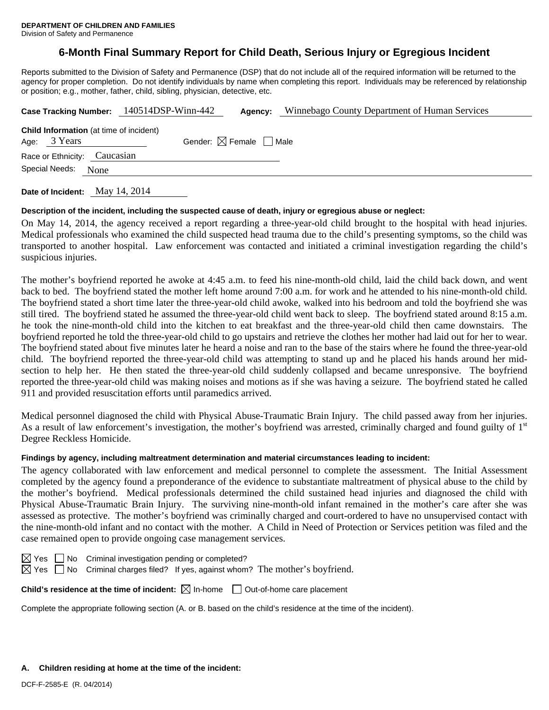# **6-Month Final Summary Report for Child Death, Serious Injury or Egregious Incident**

Reports submitted to the Division of Safety and Permanence (DSP) that do not include all of the required information will be returned to the agency for proper completion. Do not identify individuals by name when completing this report. Individuals may be referenced by relationship or position; e.g., mother, father, child, sibling, physician, detective, etc.

| Case Tracking Number: 140514DSP-Winn-442                       |      | Agency:                                | Winnebago County Department of Human Services |  |  |
|----------------------------------------------------------------|------|----------------------------------------|-----------------------------------------------|--|--|
| <b>Child Information</b> (at time of incident)<br>Age: 3 Years |      | Gender: $\boxtimes$ Female $\Box$ Male |                                               |  |  |
| Race or Ethnicity: Caucasian                                   |      |                                        |                                               |  |  |
| Special Needs:                                                 | None |                                        |                                               |  |  |

**Date of Incident:** May 14, 2014

### **Description of the incident, including the suspected cause of death, injury or egregious abuse or neglect:**

On May 14, 2014, the agency received a report regarding a three-year-old child brought to the hospital with head injuries. Medical professionals who examined the child suspected head trauma due to the child's presenting symptoms, so the child was transported to another hospital. Law enforcement was contacted and initiated a criminal investigation regarding the child's suspicious injuries.

The mother's boyfriend reported he awoke at 4:45 a.m. to feed his nine-month-old child, laid the child back down, and went back to bed. The boyfriend stated the mother left home around 7:00 a.m. for work and he attended to his nine-month-old child. The boyfriend stated a short time later the three-year-old child awoke, walked into his bedroom and told the boyfriend she was still tired. The boyfriend stated he assumed the three-year-old child went back to sleep. The boyfriend stated around 8:15 a.m. he took the nine-month-old child into the kitchen to eat breakfast and the three-year-old child then came downstairs. The boyfriend reported he told the three-year-old child to go upstairs and retrieve the clothes her mother had laid out for her to wear. The boyfriend stated about five minutes later he heard a noise and ran to the base of the stairs where he found the three-year-old child. The boyfriend reported the three-year-old child was attempting to stand up and he placed his hands around her midsection to help her. He then stated the three-year-old child suddenly collapsed and became unresponsive. The boyfriend reported the three-year-old child was making noises and motions as if she was having a seizure. The boyfriend stated he called 911 and provided resuscitation efforts until paramedics arrived.

Medical personnel diagnosed the child with Physical Abuse-Traumatic Brain Injury. The child passed away from her injuries. As a result of law enforcement's investigation, the mother's boyfriend was arrested, criminally charged and found guilty of  $1<sup>st</sup>$ Degree Reckless Homicide.

### **Findings by agency, including maltreatment determination and material circumstances leading to incident:**

The agency collaborated with law enforcement and medical personnel to complete the assessment. The Initial Assessment completed by the agency found a preponderance of the evidence to substantiate maltreatment of physical abuse to the child by the mother's boyfriend. Medical professionals determined the child sustained head injuries and diagnosed the child with Physical Abuse-Traumatic Brain Injury. The surviving nine-month-old infant remained in the mother's care after she was assessed as protective. The mother's boyfriend was criminally charged and court-ordered to have no unsupervised contact with the nine-month-old infant and no contact with the mother. A Child in Need of Protection or Services petition was filed and the case remained open to provide ongoing case management services.

 $\boxtimes$  Yes  $\Box$  No Criminal investigation pending or completed?

 $\boxtimes$  Yes  $\Box$  No Criminal charges filed? If yes, against whom? The mother's boyfriend.

**Child's residence at the time of incident:**  $\boxtimes$  In-home  $\Box$  Out-of-home care placement

Complete the appropriate following section (A. or B. based on the child's residence at the time of the incident).

#### **A. Children residing at home at the time of the incident:**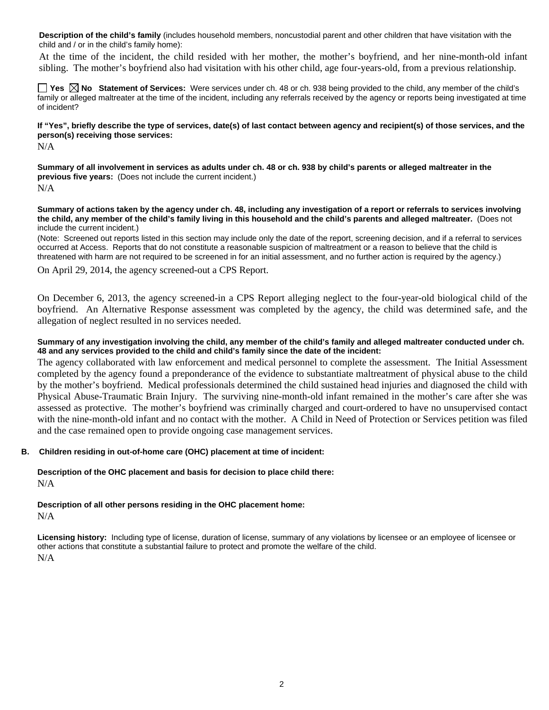**Description of the child's family** (includes household members, noncustodial parent and other children that have visitation with the child and / or in the child's family home):

 At the time of the incident, the child resided with her mother, the mother's boyfriend, and her nine-month-old infant sibling. The mother's boyfriend also had visitation with his other child, age four-years-old, from a previous relationship.

■ Yes **No** Statement of Services: Were services under ch. 48 or ch. 938 being provided to the child, any member of the child's family or alleged maltreater at the time of the incident, including any referrals received by the agency or reports being investigated at time of incident?

### **If "Yes", briefly describe the type of services, date(s) of last contact between agency and recipient(s) of those services, and the person(s) receiving those services:**

N/A

**Summary of all involvement in services as adults under ch. 48 or ch. 938 by child's parents or alleged maltreater in the previous five years:** (Does not include the current incident.) N/A

**Summary of actions taken by the agency under ch. 48, including any investigation of a report or referrals to services involving the child, any member of the child's family living in this household and the child's parents and alleged maltreater.** (Does not include the current incident.)

(Note: Screened out reports listed in this section may include only the date of the report, screening decision, and if a referral to services occurred at Access. Reports that do not constitute a reasonable suspicion of maltreatment or a reason to believe that the child is threatened with harm are not required to be screened in for an initial assessment, and no further action is required by the agency.)

On April 29, 2014, the agency screened-out a CPS Report.

On December 6, 2013, the agency screened-in a CPS Report alleging neglect to the four-year-old biological child of the boyfriend. An Alternative Response assessment was completed by the agency, the child was determined safe, and the allegation of neglect resulted in no services needed.

### **Summary of any investigation involving the child, any member of the child's family and alleged maltreater conducted under ch. 48 and any services provided to the child and child's family since the date of the incident:**

The agency collaborated with law enforcement and medical personnel to complete the assessment. The Initial Assessment completed by the agency found a preponderance of the evidence to substantiate maltreatment of physical abuse to the child by the mother's boyfriend. Medical professionals determined the child sustained head injuries and diagnosed the child with Physical Abuse-Traumatic Brain Injury. The surviving nine-month-old infant remained in the mother's care after she was assessed as protective. The mother's boyfriend was criminally charged and court-ordered to have no unsupervised contact with the nine-month-old infant and no contact with the mother. A Child in Need of Protection or Services petition was filed and the case remained open to provide ongoing case management services.

# **B. Children residing in out-of-home care (OHC) placement at time of incident:**

**Description of the OHC placement and basis for decision to place child there:**  N/A

#### **Description of all other persons residing in the OHC placement home:**  N/A

**Licensing history:** Including type of license, duration of license, summary of any violations by licensee or an employee of licensee or other actions that constitute a substantial failure to protect and promote the welfare of the child.